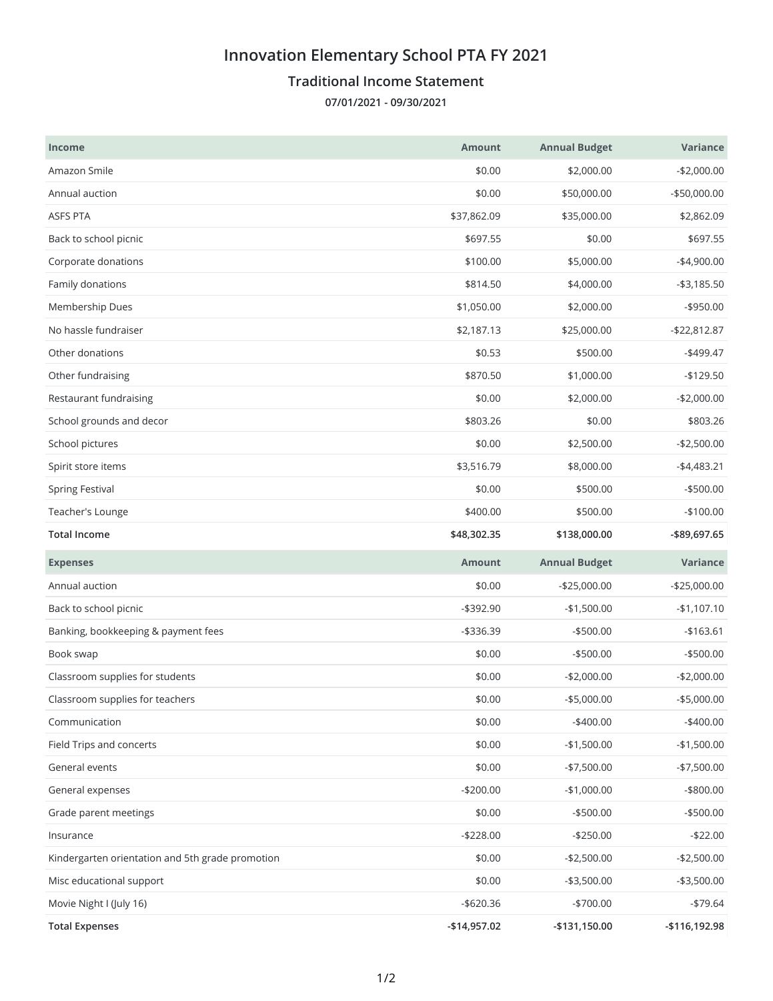## **Innovation Elementary School PTA FY 2021**

## **Traditional Income Statement**

**07/01/2021 - 09/30/2021**

| <b>Income</b>                                    | <b>Amount</b> | <b>Annual Budget</b> | Variance      |
|--------------------------------------------------|---------------|----------------------|---------------|
| Amazon Smile                                     | \$0.00        | \$2,000.00           | $-$2,000.00$  |
| Annual auction                                   | \$0.00        | \$50,000.00          | -\$50,000.00  |
| ASFS PTA                                         | \$37,862.09   | \$35,000.00          | \$2,862.09    |
| Back to school picnic                            | \$697.55      | \$0.00               | \$697.55      |
| Corporate donations                              | \$100.00      | \$5,000.00           | $-$4,900.00$  |
| Family donations                                 | \$814.50      | \$4,000.00           | $- $3,185.50$ |
| Membership Dues                                  | \$1,050.00    | \$2,000.00           | $-$ \$950.00  |
| No hassle fundraiser                             | \$2,187.13    | \$25,000.00          | $-$22,812.87$ |
| Other donations                                  | \$0.53        | \$500.00             | $-$499.47$    |
| Other fundraising                                | \$870.50      | \$1,000.00           | $-$129.50$    |
| Restaurant fundraising                           | \$0.00        | \$2,000.00           | $-$2,000.00$  |
| School grounds and decor                         | \$803.26      | \$0.00               | \$803.26      |
| School pictures                                  | \$0.00        | \$2,500.00           | $-$2,500.00$  |
| Spirit store items                               | \$3,516.79    | \$8,000.00           | $-$4,483.21$  |
| <b>Spring Festival</b>                           | \$0.00        | \$500.00             | $-$500.00$    |
| Teacher's Lounge                                 | \$400.00      | \$500.00             | $-$100.00$    |
| <b>Total Income</b>                              | \$48,302.35   | \$138,000.00         | -\$89,697.65  |
|                                                  |               |                      |               |
| <b>Expenses</b>                                  | <b>Amount</b> | <b>Annual Budget</b> | Variance      |
| Annual auction                                   | \$0.00        | $-$25,000.00$        | $-$25,000.00$ |
| Back to school picnic                            | $-$ \$392.90  | $-$1,500.00$         | $-$1,107.10$  |
| Banking, bookkeeping & payment fees              | $-$336.39$    | $-$500.00$           | $-$163.61$    |
| Book swap                                        | \$0.00        | $-$500.00$           | $-$500.00$    |
| Classroom supplies for students                  | \$0.00        | $-$2,000.00$         | $-$2,000.00$  |
| Classroom supplies for teachers                  | \$0.00        | $-$5,000.00$         | $-$5,000.00$  |
| Communication                                    | \$0.00        | $-$400.00$           | $-$400.00$    |
| Field Trips and concerts                         | \$0.00        | $-$1,500.00$         | $-$1,500.00$  |
| General events                                   | \$0.00        | $-$7,500.00$         | $-$7,500.00$  |
| General expenses                                 | $-$200.00$    | $-$1,000.00$         | $-$ \$800.00  |
| Grade parent meetings                            | \$0.00        | $- $500.00$          | $-$ \$500.00  |
| Insurance                                        | $-$228.00$    | $-$250.00$           | $-$22.00$     |
| Kindergarten orientation and 5th grade promotion | \$0.00        | $-$2,500.00$         | $-$2,500.00$  |
| Misc educational support                         | \$0.00        | $-$3,500.00$         | $- $3,500.00$ |
| Movie Night I (July 16)                          | $-$ \$620.36  | $-$700.00$           | $-$79.64$     |